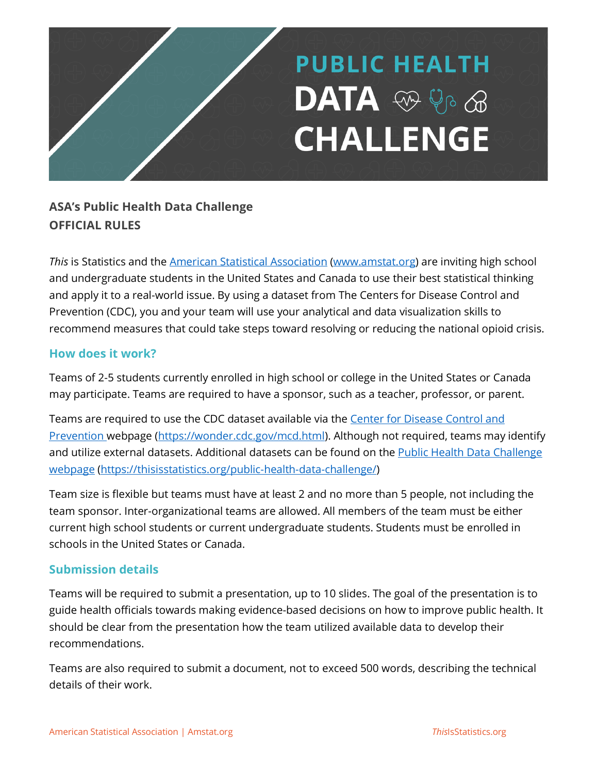# **PUBLIC HEALTH**  $DATA$   $\otimes$   $\otimes$   $\otimes$ **CHALLENGE**

## **ASA's Public Health Data Challenge OFFICIAL RULES**

*This* is Statistics and the American Statistical Association (www.amstat.org) are inviting high school and undergraduate students in the United States and Canada to use their best statistical thinking and apply it to a real-world issue. By using a dataset from The Centers for Disease Control and Prevention (CDC), you and your team will use your analytical and data visualization skills to recommend measures that could take steps toward resolving or reducing the national opioid crisis.

#### **How does it work?**

Teams of 2-5 students currently enrolled in high school or college in the United States or Canada may participate. Teams are required to have a sponsor, such as a teacher, professor, or parent.

Teams are required to use the CDC dataset available via the Center for Disease Control and Prevention webpage (https://wonder.cdc.gov/mcd.html). Although not required, teams may identify and utilize external datasets. Additional datasets can be found on the Public Health Data Challenge webpage (https://thisisstatistics.org/public-health-data-challenge/)

Team size is flexible but teams must have at least 2 and no more than 5 people, not including the team sponsor. Inter-organizational teams are allowed. All members of the team must be either current high school students or current undergraduate students. Students must be enrolled in schools in the United States or Canada.

#### **Submission details**

Teams will be required to submit a presentation, up to 10 slides. The goal of the presentation is to guide health officials towards making evidence-based decisions on how to improve public health. It should be clear from the presentation how the team utilized available data to develop their recommendations.

Teams are also required to submit a document, not to exceed 500 words, describing the technical details of their work.